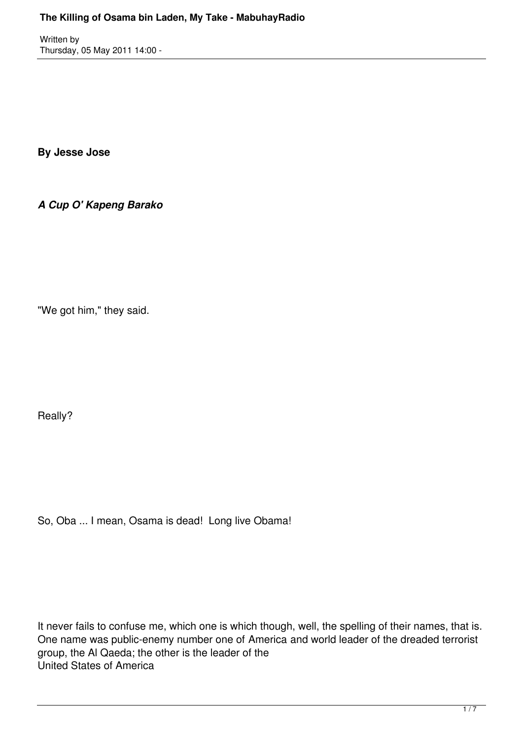Written by Thursday, 05 May 2011 14:00 -

**By Jesse Jose**

*A Cup O' Kapeng Barako*

"We got him," they said.

Really?

So, Oba ... I mean, Osama is dead! Long live Obama!

It never fails to confuse me, which one is which though, well, the spelling of their names, that is. One name was public-enemy number one of America and world leader of the dreaded terrorist group, the Al Qaeda; the other is the leader of the United States of America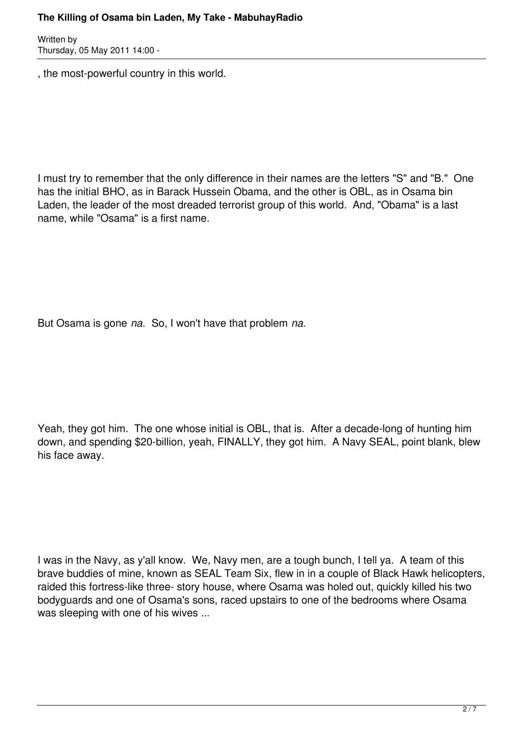## **The Killing of Osama bin Laden, My Take - MabuhayRadio**

Written by Thursday, 05 May 2011 14:00 -

, the most-powerful country in this world.

I must try to remember that the only difference in their names are the letters "S" and "B." One has the initial BHO, as in Barack Hussein Obama, and the other is OBL, as in Osama bin Laden, the leader of the most dreaded terrorist group of this world. And, "Obama" is a last name, while "Osama" is a first name.

But Osama is gone *na.* So, I won't have that problem *na.*

Yeah, they got him. The one whose initial is OBL, that is. After a decade-long of hunting him down, and spending \$20-billion, yeah, FINALLY, they got him. A Navy SEAL, point blank, blew his face away.

I was in the Navy, as y'all know. We, Navy men, are a tough bunch, I tell ya. A team of this brave buddies of mine, known as SEAL Team Six, flew in in a couple of Black Hawk helicopters, raided this fortress-like three- story house, where Osama was holed out, quickly killed his two bodyguards and one of Osama's sons, raced upstairs to one of the bedrooms where Osama was sleeping with one of his wives ...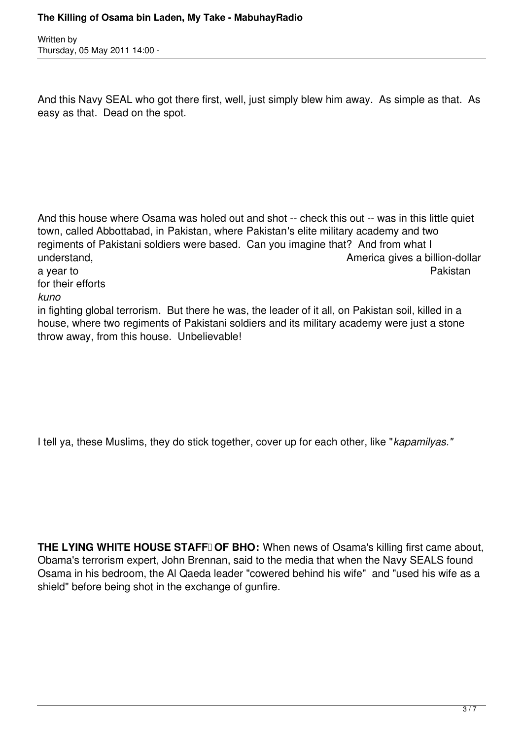Written by Thursday, 05 May 2011 14:00 -

And this Navy SEAL who got there first, well, just simply blew him away. As simple as that. As easy as that. Dead on the spot.

And this house where Osama was holed out and shot -- check this out -- was in this little quiet town, called Abbottabad, in Pakistan, where Pakistan's elite military academy and two regiments of Pakistani soldiers were based. Can you imagine that? And from what I understand, and the contract of the contract of the contract of the contract of the contract of the contract of the contract of the contract of the contract of the contract of the contract of the contract of the contract o a year to Pakistan for their efforts *kuno* in fighting global terrorism. But there he was, the leader of it all, on Pakistan soil, killed in a

house, where two regiments of Pakistani soldiers and its military academy were just a stone throw away, from this house. Unbelievable!

I tell ya, these Muslims, they do stick together, cover up for each other, like "*kapamilyas."*

**THE LYING WHITE HOUSE STAFFI OF BHO:** When news of Osama's killing first came about, Obama's terrorism expert, John Brennan, said to the media that when the Navy SEALS found Osama in his bedroom, the Al Qaeda leader "cowered behind his wife" and "used his wife as a shield" before being shot in the exchange of gunfire.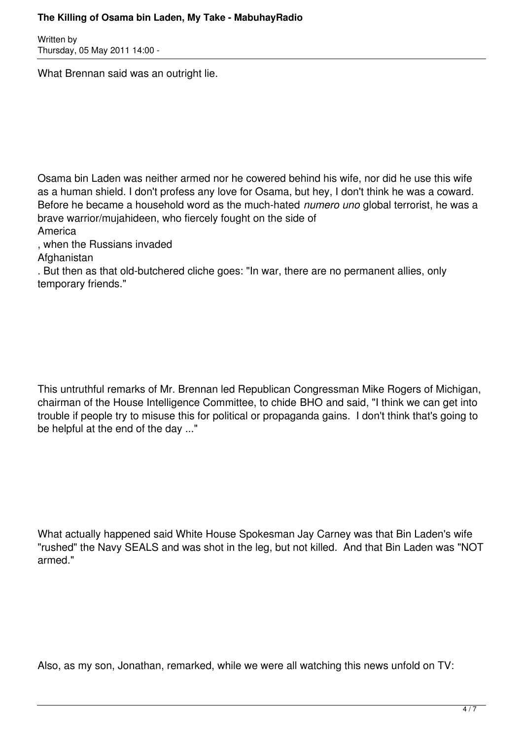## **The Killing of Osama bin Laden, My Take - MabuhayRadio**

Written by Thursday, 05 May 2011 14:00 -

What Brennan said was an outright lie.

Osama bin Laden was neither armed nor he cowered behind his wife, nor did he use this wife as a human shield. I don't profess any love for Osama, but hey, I don't think he was a coward. Before he became a household word as the much-hated *numero uno* global terrorist, he was a brave warrior/mujahideen, who fiercely fought on the side of

America

, when the Russians invaded

**Afghanistan** 

. But then as that old-butchered cliche goes: "In war, there are no permanent allies, only temporary friends."

This untruthful remarks of Mr. Brennan led Republican Congressman Mike Rogers of Michigan, chairman of the House Intelligence Committee, to chide BHO and said, "I think we can get into trouble if people try to misuse this for political or propaganda gains. I don't think that's going to be helpful at the end of the day ..."

What actually happened said White House Spokesman Jay Carney was that Bin Laden's wife "rushed" the Navy SEALS and was shot in the leg, but not killed. And that Bin Laden was "NOT armed."

Also, as my son, Jonathan, remarked, while we were all watching this news unfold on TV: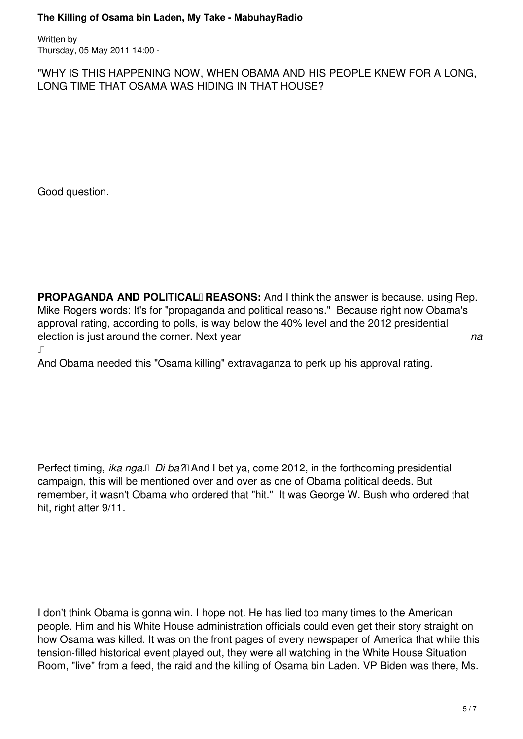Written by Thursday, 05 May 2011 14:00 -

"WHY IS THIS HAPPENING NOW, WHEN OBAMA AND HIS PEOPLE KNEW FOR A LONG, LONG TIME THAT OSAMA WAS HIDING IN THAT HOUSE?

Good question.

**PROPAGANDA AND POLITICAL** REASONS: And I think the answer is because, using Rep. Mike Rogers words: It's for "propaganda and political reasons." Because right now Obama's approval rating, according to polls, is way below the 40% level and the 2012 presidential election is just around the corner. Next year *na*  $\Box$ 

And Obama needed this "Osama killing" extravaganza to perk up his approval rating.

Perfect timing, *ika nga. Di ba?* And I bet ya, come 2012, in the forthcoming presidential campaign, this will be mentioned over and over as one of Obama political deeds. But remember, it wasn't Obama who ordered that "hit." It was George W. Bush who ordered that hit, right after 9/11.

I don't think Obama is gonna win. I hope not. He has lied too many times to the American people. Him and his White House administration officials could even get their story straight on how Osama was killed. It was on the front pages of every newspaper of America that while this tension-filled historical event played out, they were all watching in the White House Situation Room, "live" from a feed, the raid and the killing of Osama bin Laden. VP Biden was there, Ms.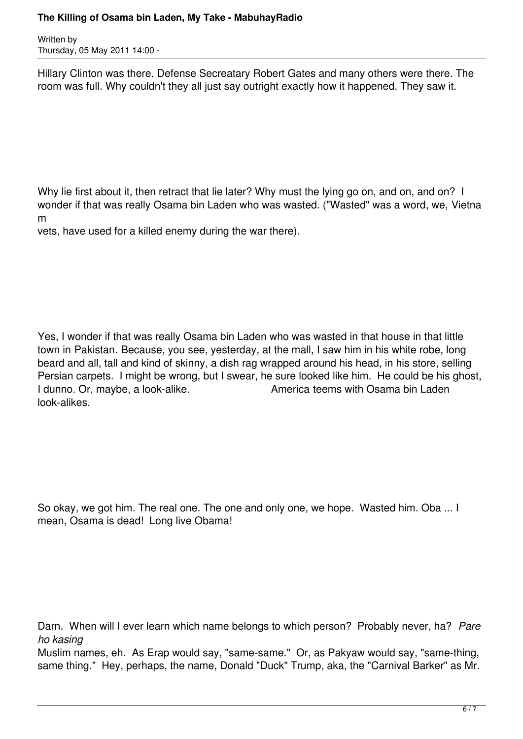## **The Killing of Osama bin Laden, My Take - MabuhayRadio**

Written by Thursday, 05 May 2011 14:00 -

Hillary Clinton was there. Defense Secreatary Robert Gates and many others were there. The room was full. Why couldn't they all just say outright exactly how it happened. They saw it.

Why lie first about it, then retract that lie later? Why must the lying go on, and on, and on? I wonder if that was really Osama bin Laden who was wasted. ("Wasted" was a word, we, Vietna m

vets, have used for a killed enemy during the war there).

Yes, I wonder if that was really Osama bin Laden who was wasted in that house in that little town in Pakistan. Because, you see, yesterday, at the mall, I saw him in his white robe, long beard and all, tall and kind of skinny, a dish rag wrapped around his head, in his store, selling Persian carpets. I might be wrong, but I swear, he sure looked like him. He could be his ghost, I dunno. Or, maybe, a look-alike. **America teems with Osama bin Laden** look-alikes.

So okay, we got him. The real one. The one and only one, we hope. Wasted him. Oba ... I mean, Osama is dead! Long live Obama!

Darn. When will I ever learn which name belongs to which person? Probably never, ha? Pare *ho kasing*

Muslim names, eh. As Erap would say, "same-same." Or, as Pakyaw would say, "same-thing, same thing." Hey, perhaps, the name, Donald "Duck" Trump, aka, the "Carnival Barker" as Mr.